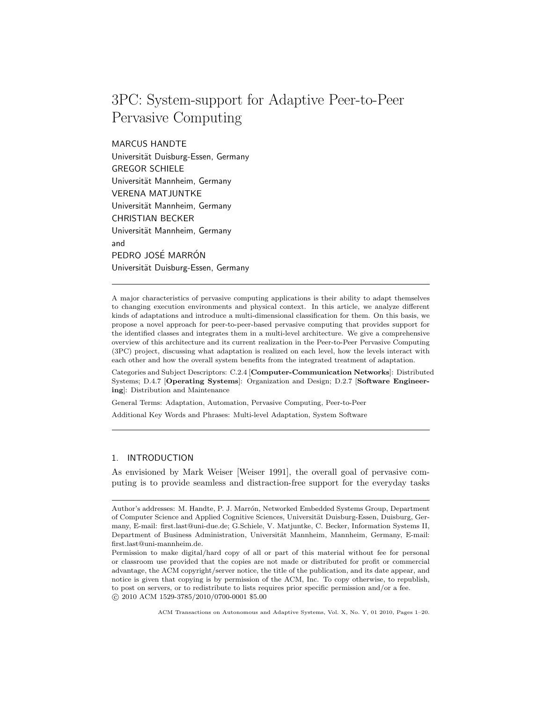# 3PC: System-support for Adaptive Peer-to-Peer Pervasive Computing

MARCUS HANDTE Universität Duisburg-Essen, Germany GREGOR SCHIELE Universität Mannheim, Germany VERENA MATJUNTKE Universität Mannheim, Germany CHRISTIAN BECKER Universität Mannheim, Germany and PEDRO JOSÉ MARRÓN Universität Duisburg-Essen, Germany

A major characteristics of pervasive computing applications is their ability to adapt themselves to changing execution environments and physical context. In this article, we analyze different kinds of adaptations and introduce a multi-dimensional classification for them. On this basis, we propose a novel approach for peer-to-peer-based pervasive computing that provides support for the identified classes and integrates them in a multi-level architecture. We give a comprehensive overview of this architecture and its current realization in the Peer-to-Peer Pervasive Computing (3PC) project, discussing what adaptation is realized on each level, how the levels interact with each other and how the overall system benefits from the integrated treatment of adaptation.

Categories and Subject Descriptors: C.2.4 [Computer-Communication Networks]: Distributed Systems; D.4.7 [Operating Systems]: Organization and Design; D.2.7 [Software Engineering]: Distribution and Maintenance

General Terms: Adaptation, Automation, Pervasive Computing, Peer-to-Peer

Additional Key Words and Phrases: Multi-level Adaptation, System Software

# 1. INTRODUCTION

As envisioned by Mark Weiser [Weiser 1991], the overall goal of pervasive computing is to provide seamless and distraction-free support for the everyday tasks

Author's addresses: M. Handte, P. J. Marrón, Networked Embedded Systems Group, Department of Computer Science and Applied Cognitive Sciences, Universität Duisburg-Essen, Duisburg, Germany, E-mail: first.last@uni-due.de; G.Schiele, V. Matjuntke, C. Becker, Information Systems II, Department of Business Administration, Universität Mannheim, Mannheim, Germany, E-mail: first.last@uni-mannheim.de.

Permission to make digital/hard copy of all or part of this material without fee for personal or classroom use provided that the copies are not made or distributed for profit or commercial advantage, the ACM copyright/server notice, the title of the publication, and its date appear, and notice is given that copying is by permission of the ACM, Inc. To copy otherwise, to republish, to post on servers, or to redistribute to lists requires prior specific permission and/or a fee. c 2010 ACM 1529-3785/2010/0700-0001 \$5.00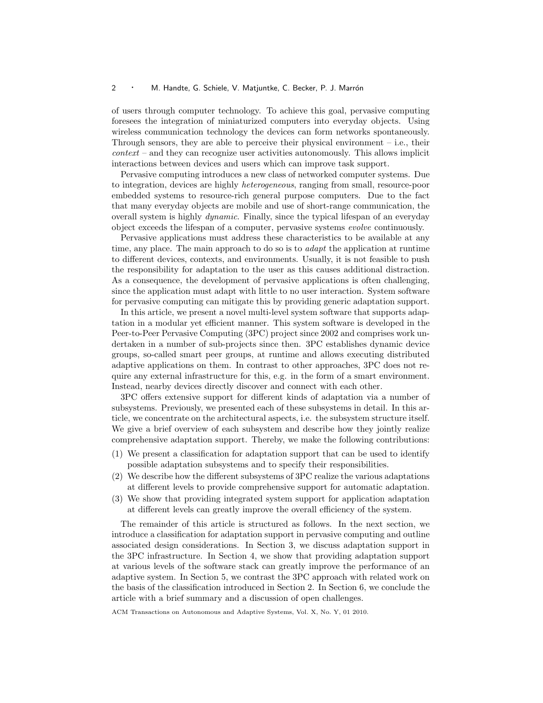## 2 · M. Handte, G. Schiele, V. Matjuntke, C. Becker, P. J. Marrón

of users through computer technology. To achieve this goal, pervasive computing foresees the integration of miniaturized computers into everyday objects. Using wireless communication technology the devices can form networks spontaneously. Through sensors, they are able to perceive their physical environment  $-$  i.e., their context – and they can recognize user activities autonomously. This allows implicit interactions between devices and users which can improve task support.

Pervasive computing introduces a new class of networked computer systems. Due to integration, devices are highly heterogeneous, ranging from small, resource-poor embedded systems to resource-rich general purpose computers. Due to the fact that many everyday objects are mobile and use of short-range communication, the overall system is highly dynamic. Finally, since the typical lifespan of an everyday object exceeds the lifespan of a computer, pervasive systems evolve continuously.

Pervasive applications must address these characteristics to be available at any time, any place. The main approach to do so is to *adapt* the application at runtime to different devices, contexts, and environments. Usually, it is not feasible to push the responsibility for adaptation to the user as this causes additional distraction. As a consequence, the development of pervasive applications is often challenging, since the application must adapt with little to no user interaction. System software for pervasive computing can mitigate this by providing generic adaptation support.

In this article, we present a novel multi-level system software that supports adaptation in a modular yet efficient manner. This system software is developed in the Peer-to-Peer Pervasive Computing (3PC) project since 2002 and comprises work undertaken in a number of sub-projects since then. 3PC establishes dynamic device groups, so-called smart peer groups, at runtime and allows executing distributed adaptive applications on them. In contrast to other approaches, 3PC does not require any external infrastructure for this, e.g. in the form of a smart environment. Instead, nearby devices directly discover and connect with each other.

3PC offers extensive support for different kinds of adaptation via a number of subsystems. Previously, we presented each of these subsystems in detail. In this article, we concentrate on the architectural aspects, i.e. the subsystem structure itself. We give a brief overview of each subsystem and describe how they jointly realize comprehensive adaptation support. Thereby, we make the following contributions:

- (1) We present a classification for adaptation support that can be used to identify possible adaptation subsystems and to specify their responsibilities.
- (2) We describe how the different subsystems of 3PC realize the various adaptations at different levels to provide comprehensive support for automatic adaptation.
- (3) We show that providing integrated system support for application adaptation at different levels can greatly improve the overall efficiency of the system.

The remainder of this article is structured as follows. In the next section, we introduce a classification for adaptation support in pervasive computing and outline associated design considerations. In Section 3, we discuss adaptation support in the 3PC infrastructure. In Section 4, we show that providing adaptation support at various levels of the software stack can greatly improve the performance of an adaptive system. In Section 5, we contrast the 3PC approach with related work on the basis of the classification introduced in Section 2. In Section 6, we conclude the article with a brief summary and a discussion of open challenges.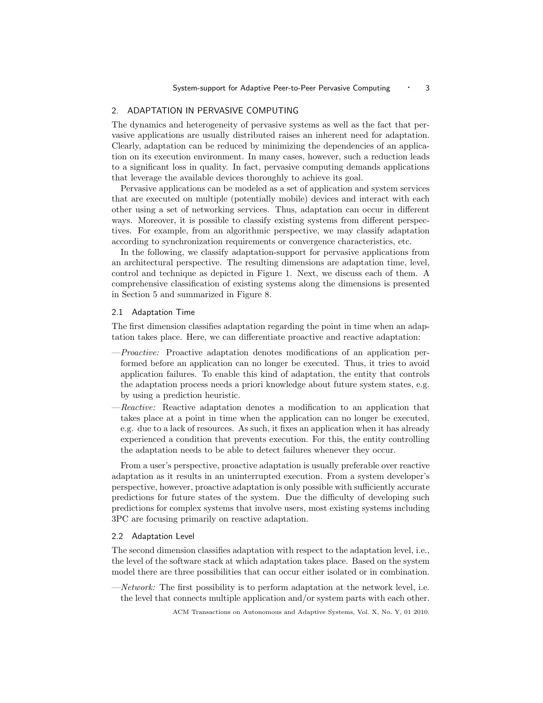# 2. ADAPTATION IN PERVASIVE COMPUTING

The dynamics and heterogeneity of pervasive systems as well as the fact that pervasive applications are usually distributed raises an inherent need for adaptation. Clearly, adaptation can be reduced by minimizing the dependencies of an application on its execution environment. In many cases, however, such a reduction leads to a significant loss in quality. In fact, pervasive computing demands applications that leverage the available devices thoroughly to achieve its goal.

Pervasive applications can be modeled as a set of application and system services that are executed on multiple (potentially mobile) devices and interact with each other using a set of networking services. Thus, adaptation can occur in different ways. Moreover, it is possible to classify existing systems from different perspectives. For example, from an algorithmic perspective, we may classify adaptation according to synchronization requirements or convergence characteristics, etc.

In the following, we classify adaptation-support for pervasive applications from an architectural perspective. The resulting dimensions are adaptation time, level, control and technique as depicted in Figure 1. Next, we discuss each of them. A comprehensive classification of existing systems along the dimensions is presented in Section 5 and summarized in Figure 8.

## 2.1 Adaptation Time

The first dimension classifies adaptation regarding the point in time when an adaptation takes place. Here, we can differentiate proactive and reactive adaptation:

- —Proactive: Proactive adaptation denotes modifications of an application performed before an application can no longer be executed. Thus, it tries to avoid application failures. To enable this kind of adaptation, the entity that controls the adaptation process needs a priori knowledge about future system states, e.g. by using a prediction heuristic.
- —Reactive: Reactive adaptation denotes a modification to an application that takes place at a point in time when the application can no longer be executed, e.g. due to a lack of resources. As such, it fixes an application when it has already experienced a condition that prevents execution. For this, the entity controlling the adaptation needs to be able to detect failures whenever they occur.

From a user's perspective, proactive adaptation is usually preferable over reactive adaptation as it results in an uninterrupted execution. From a system developer's perspective, however, proactive adaptation is only possible with sufficiently accurate predictions for future states of the system. Due the difficulty of developing such predictions for complex systems that involve users, most existing systems including 3PC are focusing primarily on reactive adaptation.

# 2.2 Adaptation Level

The second dimension classifies adaptation with respect to the adaptation level, i.e., the level of the software stack at which adaptation takes place. Based on the system model there are three possibilities that can occur either isolated or in combination.

 $-$ Network: The first possibility is to perform adaptation at the network level, i.e. the level that connects multiple application and/or system parts with each other.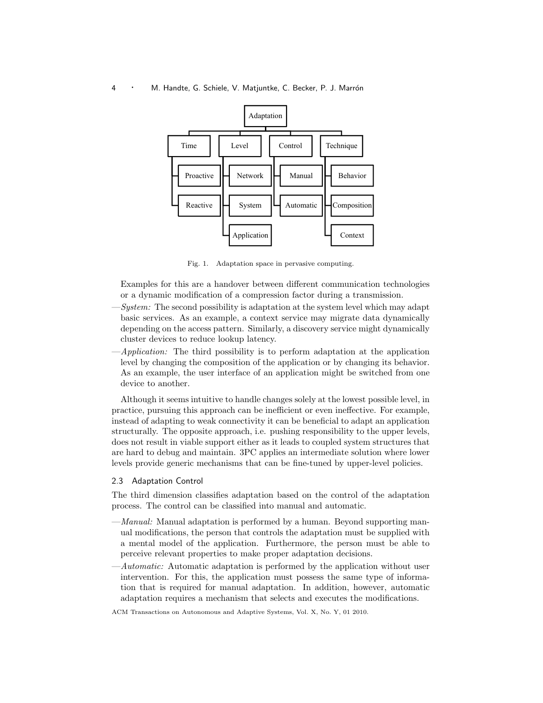

Fig. 1. Adaptation space in pervasive computing.

Examples for this are a handover between different communication technologies or a dynamic modification of a compression factor during a transmission.

- -System: The second possibility is adaptation at the system level which may adapt basic services. As an example, a context service may migrate data dynamically depending on the access pattern. Similarly, a discovery service might dynamically cluster devices to reduce lookup latency.
- -*Application:* The third possibility is to perform adaptation at the application level by changing the composition of the application or by changing its behavior. As an example, the user interface of an application might be switched from one device to another.

Although it seems intuitive to handle changes solely at the lowest possible level, in practice, pursuing this approach can be inefficient or even ineffective. For example, instead of adapting to weak connectivity it can be beneficial to adapt an application structurally. The opposite approach, i.e. pushing responsibility to the upper levels, does not result in viable support either as it leads to coupled system structures that are hard to debug and maintain. 3PC applies an intermediate solution where lower levels provide generic mechanisms that can be fine-tuned by upper-level policies.

# 2.3 Adaptation Control

The third dimension classifies adaptation based on the control of the adaptation process. The control can be classified into manual and automatic.

- —Manual: Manual adaptation is performed by a human. Beyond supporting manual modifications, the person that controls the adaptation must be supplied with a mental model of the application. Furthermore, the person must be able to perceive relevant properties to make proper adaptation decisions.
- —Automatic: Automatic adaptation is performed by the application without user intervention. For this, the application must possess the same type of information that is required for manual adaptation. In addition, however, automatic adaptation requires a mechanism that selects and executes the modifications.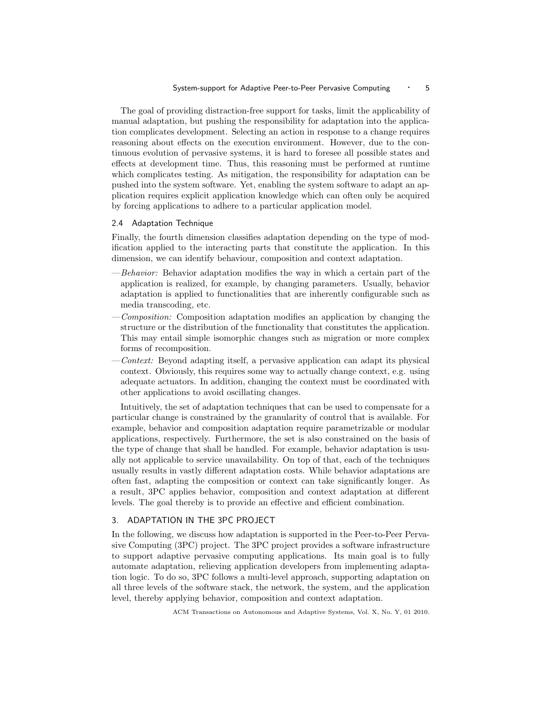The goal of providing distraction-free support for tasks, limit the applicability of manual adaptation, but pushing the responsibility for adaptation into the application complicates development. Selecting an action in response to a change requires reasoning about effects on the execution environment. However, due to the continuous evolution of pervasive systems, it is hard to foresee all possible states and effects at development time. Thus, this reasoning must be performed at runtime which complicates testing. As mitigation, the responsibility for adaptation can be pushed into the system software. Yet, enabling the system software to adapt an application requires explicit application knowledge which can often only be acquired by forcing applications to adhere to a particular application model.

# 2.4 Adaptation Technique

Finally, the fourth dimension classifies adaptation depending on the type of modification applied to the interacting parts that constitute the application. In this dimension, we can identify behaviour, composition and context adaptation.

- $-Behavior:$  Behavior adaptation modifies the way in which a certain part of the application is realized, for example, by changing parameters. Usually, behavior adaptation is applied to functionalities that are inherently configurable such as media transcoding, etc.
- —Composition: Composition adaptation modifies an application by changing the structure or the distribution of the functionality that constitutes the application. This may entail simple isomorphic changes such as migration or more complex forms of recomposition.
- —Context: Beyond adapting itself, a pervasive application can adapt its physical context. Obviously, this requires some way to actually change context, e.g. using adequate actuators. In addition, changing the context must be coordinated with other applications to avoid oscillating changes.

Intuitively, the set of adaptation techniques that can be used to compensate for a particular change is constrained by the granularity of control that is available. For example, behavior and composition adaptation require parametrizable or modular applications, respectively. Furthermore, the set is also constrained on the basis of the type of change that shall be handled. For example, behavior adaptation is usually not applicable to service unavailability. On top of that, each of the techniques usually results in vastly different adaptation costs. While behavior adaptations are often fast, adapting the composition or context can take significantly longer. As a result, 3PC applies behavior, composition and context adaptation at different levels. The goal thereby is to provide an effective and efficient combination.

# 3. ADAPTATION IN THE 3PC PROJECT

In the following, we discuss how adaptation is supported in the Peer-to-Peer Pervasive Computing (3PC) project. The 3PC project provides a software infrastructure to support adaptive pervasive computing applications. Its main goal is to fully automate adaptation, relieving application developers from implementing adaptation logic. To do so, 3PC follows a multi-level approach, supporting adaptation on all three levels of the software stack, the network, the system, and the application level, thereby applying behavior, composition and context adaptation.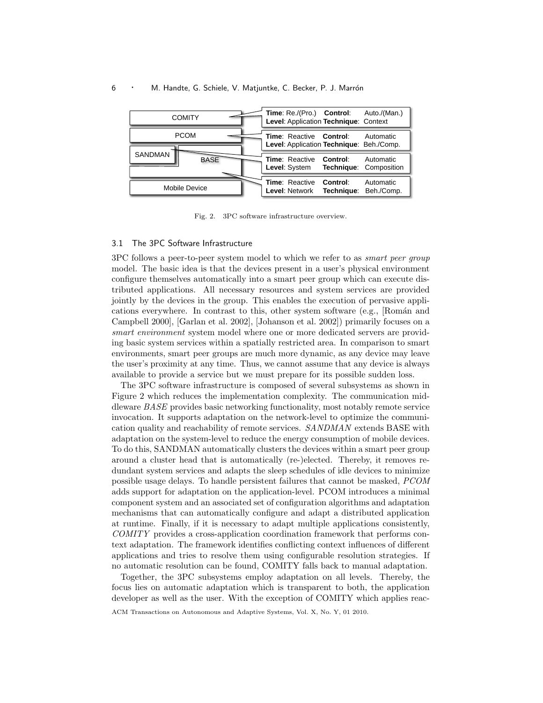| <b>COMITY</b>                 | Time: Re./(Pro.) Control:<br>Auto./(Man.)<br>Level: Application Technique: Context           |
|-------------------------------|----------------------------------------------------------------------------------------------|
| <b>PCOM</b>                   | <b>Time: Reactive Control:</b><br>Automatic<br>Level: Application Technique: Beh./Comp.      |
| <b>SANDMAN</b><br><b>BASE</b> | Time: Reactive<br>Control:<br>Automatic<br>Level: System<br><b>Technique: Composition</b>    |
| <b>Mobile Device</b>          | <b>Time: Reactive</b><br>Control:<br>Automatic<br>Technique:<br>Level: Network<br>Beh./Comp. |

Fig. 2. 3PC software infrastructure overview.

#### 3.1 The 3PC Software Infrastructure

3PC follows a peer-to-peer system model to which we refer to as *smart peer group* model. The basic idea is that the devices present in a user's physical environment configure themselves automatically into a smart peer group which can execute distributed applications. All necessary resources and system services are provided jointly by the devices in the group. This enables the execution of pervasive applications everywhere. In contrast to this, other system software  $(e.g., Román and$ Campbell 2000], [Garlan et al. 2002], [Johanson et al. 2002]) primarily focuses on a smart environment system model where one or more dedicated servers are providing basic system services within a spatially restricted area. In comparison to smart environments, smart peer groups are much more dynamic, as any device may leave the user's proximity at any time. Thus, we cannot assume that any device is always available to provide a service but we must prepare for its possible sudden loss.

The 3PC software infrastructure is composed of several subsystems as shown in Figure 2 which reduces the implementation complexity. The communication middleware BASE provides basic networking functionality, most notably remote service invocation. It supports adaptation on the network-level to optimize the communication quality and reachability of remote services. SANDMAN extends BASE with adaptation on the system-level to reduce the energy consumption of mobile devices. To do this, SANDMAN automatically clusters the devices within a smart peer group around a cluster head that is automatically (re-)elected. Thereby, it removes redundant system services and adapts the sleep schedules of idle devices to minimize possible usage delays. To handle persistent failures that cannot be masked, PCOM adds support for adaptation on the application-level. PCOM introduces a minimal component system and an associated set of configuration algorithms and adaptation mechanisms that can automatically configure and adapt a distributed application at runtime. Finally, if it is necessary to adapt multiple applications consistently, COMITY provides a cross-application coordination framework that performs context adaptation. The framework identifies conflicting context influences of different applications and tries to resolve them using configurable resolution strategies. If no automatic resolution can be found, COMITY falls back to manual adaptation.

Together, the 3PC subsystems employ adaptation on all levels. Thereby, the focus lies on automatic adaptation which is transparent to both, the application developer as well as the user. With the exception of COMITY which applies reac-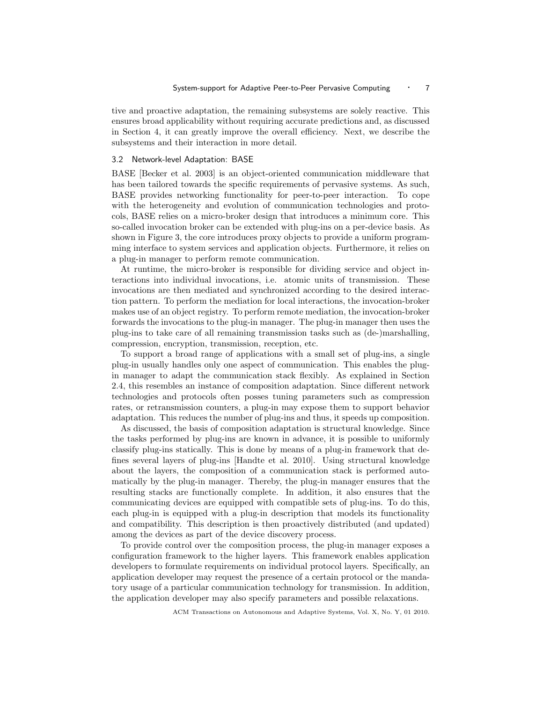tive and proactive adaptation, the remaining subsystems are solely reactive. This ensures broad applicability without requiring accurate predictions and, as discussed in Section 4, it can greatly improve the overall efficiency. Next, we describe the subsystems and their interaction in more detail.

# 3.2 Network-level Adaptation: BASE

BASE [Becker et al. 2003] is an object-oriented communication middleware that has been tailored towards the specific requirements of pervasive systems. As such, BASE provides networking functionality for peer-to-peer interaction. To cope with the heterogeneity and evolution of communication technologies and protocols, BASE relies on a micro-broker design that introduces a minimum core. This so-called invocation broker can be extended with plug-ins on a per-device basis. As shown in Figure 3, the core introduces proxy objects to provide a uniform programming interface to system services and application objects. Furthermore, it relies on a plug-in manager to perform remote communication.

At runtime, the micro-broker is responsible for dividing service and object interactions into individual invocations, i.e. atomic units of transmission. These invocations are then mediated and synchronized according to the desired interaction pattern. To perform the mediation for local interactions, the invocation-broker makes use of an object registry. To perform remote mediation, the invocation-broker forwards the invocations to the plug-in manager. The plug-in manager then uses the plug-ins to take care of all remaining transmission tasks such as (de-)marshalling, compression, encryption, transmission, reception, etc.

To support a broad range of applications with a small set of plug-ins, a single plug-in usually handles only one aspect of communication. This enables the plugin manager to adapt the communication stack flexibly. As explained in Section 2.4, this resembles an instance of composition adaptation. Since different network technologies and protocols often posses tuning parameters such as compression rates, or retransmission counters, a plug-in may expose them to support behavior adaptation. This reduces the number of plug-ins and thus, it speeds up composition.

As discussed, the basis of composition adaptation is structural knowledge. Since the tasks performed by plug-ins are known in advance, it is possible to uniformly classify plug-ins statically. This is done by means of a plug-in framework that defines several layers of plug-ins [Handte et al. 2010]. Using structural knowledge about the layers, the composition of a communication stack is performed automatically by the plug-in manager. Thereby, the plug-in manager ensures that the resulting stacks are functionally complete. In addition, it also ensures that the communicating devices are equipped with compatible sets of plug-ins. To do this, each plug-in is equipped with a plug-in description that models its functionality and compatibility. This description is then proactively distributed (and updated) among the devices as part of the device discovery process.

To provide control over the composition process, the plug-in manager exposes a configuration framework to the higher layers. This framework enables application developers to formulate requirements on individual protocol layers. Specifically, an application developer may request the presence of a certain protocol or the mandatory usage of a particular communication technology for transmission. In addition, the application developer may also specify parameters and possible relaxations.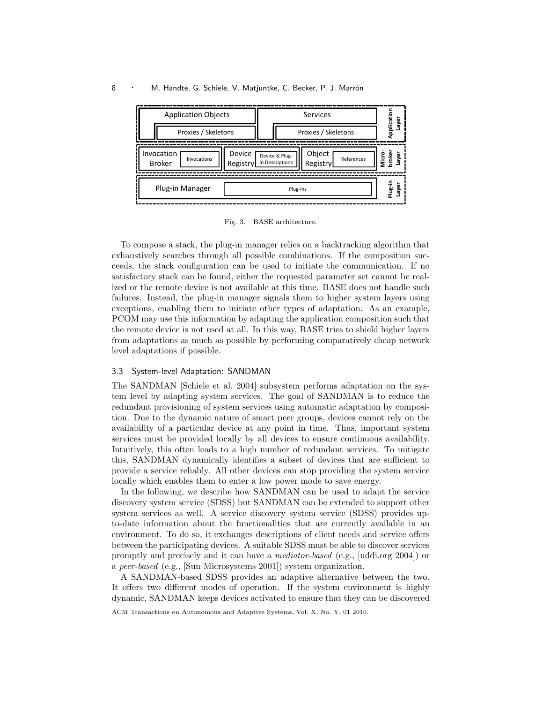## 8 · M. Handte, G. Schiele, V. Matjuntke, C. Becker, P. J. Marrón



Fig. 3. BASE architecture.

To compose a stack, the plug-in manager relies on a backtracking algorithm that exhaustively searches through all possible combinations. If the composition succeeds, the stack configuration can be used to initiate the communication. If no satisfactory stack can be found, either the requested parameter set cannot be realized or the remote device is not available at this time. BASE does not handle such failures. Instead, the plug-in manager signals them to higher system layers using exceptions, enabling them to initiate other types of adaptation. As an example, PCOM may use this information by adapting the application composition such that the remote device is not used at all. In this way, BASE tries to shield higher layers from adaptations as much as possible by performing comparatively cheap network level adaptations if possible.

# 3.3 System-level Adaptation: SANDMAN

The SANDMAN [Schiele et al. 2004] subsystem performs adaptation on the system level by adapting system services. The goal of SANDMAN is to reduce the redundant provisioning of system services using automatic adaptation by composition. Due to the dynamic nature of smart peer groups, devices cannot rely on the availability of a particular device at any point in time. Thus, important system services must be provided locally by all devices to ensure continuous availability. Intuitively, this often leads to a high number of redundant services. To mitigate this, SANDMAN dynamically identifies a subset of devices that are sufficient to provide a service reliably. All other devices can stop providing the system service locally which enables them to enter a low power mode to save energy.

In the following, we describe how SANDMAN can be used to adapt the service discovery system service (SDSS) but SANDMAN can be extended to support other system services as well. A service discovery system service (SDSS) provides upto-date information about the functionalities that are currently available in an environment. To do so, it exchanges descriptions of client needs and service offers between the participating devices. A suitable SDSS must be able to discover services promptly and precisely and it can have a mediator-based (e.g., [uddi.org 2004]) or a peer-based (e.g., [Sun Microsystems 2001]) system organization.

A SANDMAN-based SDSS provides an adaptive alternative between the two. It offers two different modes of operation. If the system environment is highly dynamic, SANDMAN keeps devices activated to ensure that they can be discovered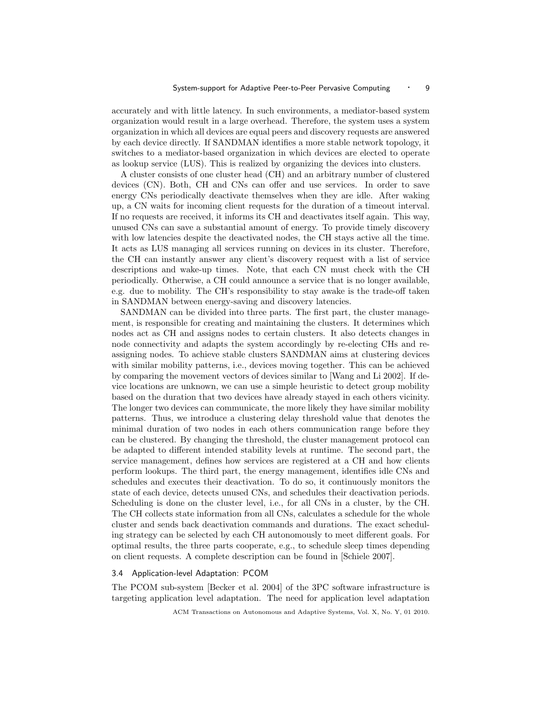accurately and with little latency. In such environments, a mediator-based system organization would result in a large overhead. Therefore, the system uses a system organization in which all devices are equal peers and discovery requests are answered by each device directly. If SANDMAN identifies a more stable network topology, it switches to a mediator-based organization in which devices are elected to operate as lookup service (LUS). This is realized by organizing the devices into clusters.

A cluster consists of one cluster head (CH) and an arbitrary number of clustered devices (CN). Both, CH and CNs can offer and use services. In order to save energy CNs periodically deactivate themselves when they are idle. After waking up, a CN waits for incoming client requests for the duration of a timeout interval. If no requests are received, it informs its CH and deactivates itself again. This way, unused CNs can save a substantial amount of energy. To provide timely discovery with low latencies despite the deactivated nodes, the CH stays active all the time. It acts as LUS managing all services running on devices in its cluster. Therefore, the CH can instantly answer any client's discovery request with a list of service descriptions and wake-up times. Note, that each CN must check with the CH periodically. Otherwise, a CH could announce a service that is no longer available, e.g. due to mobility. The CH's responsibility to stay awake is the trade-off taken in SANDMAN between energy-saving and discovery latencies.

SANDMAN can be divided into three parts. The first part, the cluster management, is responsible for creating and maintaining the clusters. It determines which nodes act as CH and assigns nodes to certain clusters. It also detects changes in node connectivity and adapts the system accordingly by re-electing CHs and reassigning nodes. To achieve stable clusters SANDMAN aims at clustering devices with similar mobility patterns, i.e., devices moving together. This can be achieved by comparing the movement vectors of devices similar to [Wang and Li 2002]. If device locations are unknown, we can use a simple heuristic to detect group mobility based on the duration that two devices have already stayed in each others vicinity. The longer two devices can communicate, the more likely they have similar mobility patterns. Thus, we introduce a clustering delay threshold value that denotes the minimal duration of two nodes in each others communication range before they can be clustered. By changing the threshold, the cluster management protocol can be adapted to different intended stability levels at runtime. The second part, the service management, defines how services are registered at a CH and how clients perform lookups. The third part, the energy management, identifies idle CNs and schedules and executes their deactivation. To do so, it continuously monitors the state of each device, detects unused CNs, and schedules their deactivation periods. Scheduling is done on the cluster level, i.e., for all CNs in a cluster, by the CH. The CH collects state information from all CNs, calculates a schedule for the whole cluster and sends back deactivation commands and durations. The exact scheduling strategy can be selected by each CH autonomously to meet different goals. For optimal results, the three parts cooperate, e.g., to schedule sleep times depending on client requests. A complete description can be found in [Schiele 2007].

#### 3.4 Application-level Adaptation: PCOM

The PCOM sub-system [Becker et al. 2004] of the 3PC software infrastructure is targeting application level adaptation. The need for application level adaptation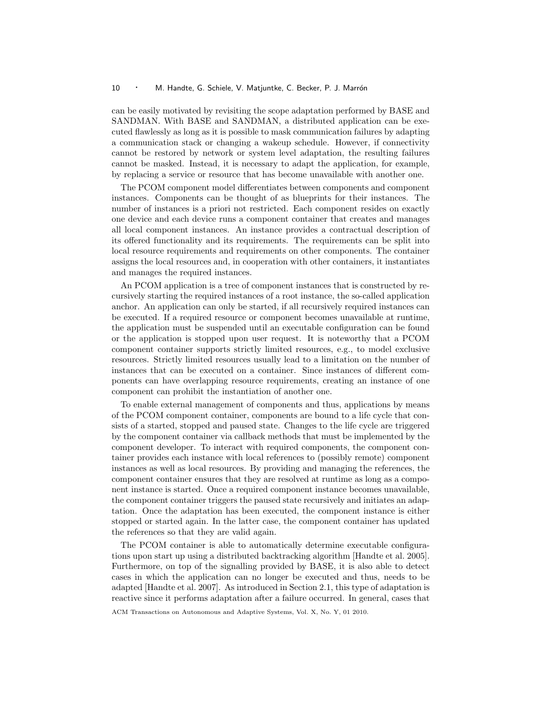can be easily motivated by revisiting the scope adaptation performed by BASE and SANDMAN. With BASE and SANDMAN, a distributed application can be executed flawlessly as long as it is possible to mask communication failures by adapting a communication stack or changing a wakeup schedule. However, if connectivity cannot be restored by network or system level adaptation, the resulting failures cannot be masked. Instead, it is necessary to adapt the application, for example, by replacing a service or resource that has become unavailable with another one.

The PCOM component model differentiates between components and component instances. Components can be thought of as blueprints for their instances. The number of instances is a priori not restricted. Each component resides on exactly one device and each device runs a component container that creates and manages all local component instances. An instance provides a contractual description of its offered functionality and its requirements. The requirements can be split into local resource requirements and requirements on other components. The container assigns the local resources and, in cooperation with other containers, it instantiates and manages the required instances.

An PCOM application is a tree of component instances that is constructed by recursively starting the required instances of a root instance, the so-called application anchor. An application can only be started, if all recursively required instances can be executed. If a required resource or component becomes unavailable at runtime, the application must be suspended until an executable configuration can be found or the application is stopped upon user request. It is noteworthy that a PCOM component container supports strictly limited resources, e.g., to model exclusive resources. Strictly limited resources usually lead to a limitation on the number of instances that can be executed on a container. Since instances of different components can have overlapping resource requirements, creating an instance of one component can prohibit the instantiation of another one.

To enable external management of components and thus, applications by means of the PCOM component container, components are bound to a life cycle that consists of a started, stopped and paused state. Changes to the life cycle are triggered by the component container via callback methods that must be implemented by the component developer. To interact with required components, the component container provides each instance with local references to (possibly remote) component instances as well as local resources. By providing and managing the references, the component container ensures that they are resolved at runtime as long as a component instance is started. Once a required component instance becomes unavailable, the component container triggers the paused state recursively and initiates an adaptation. Once the adaptation has been executed, the component instance is either stopped or started again. In the latter case, the component container has updated the references so that they are valid again.

The PCOM container is able to automatically determine executable configurations upon start up using a distributed backtracking algorithm [Handte et al. 2005]. Furthermore, on top of the signalling provided by BASE, it is also able to detect cases in which the application can no longer be executed and thus, needs to be adapted [Handte et al. 2007]. As introduced in Section 2.1, this type of adaptation is reactive since it performs adaptation after a failure occurred. In general, cases that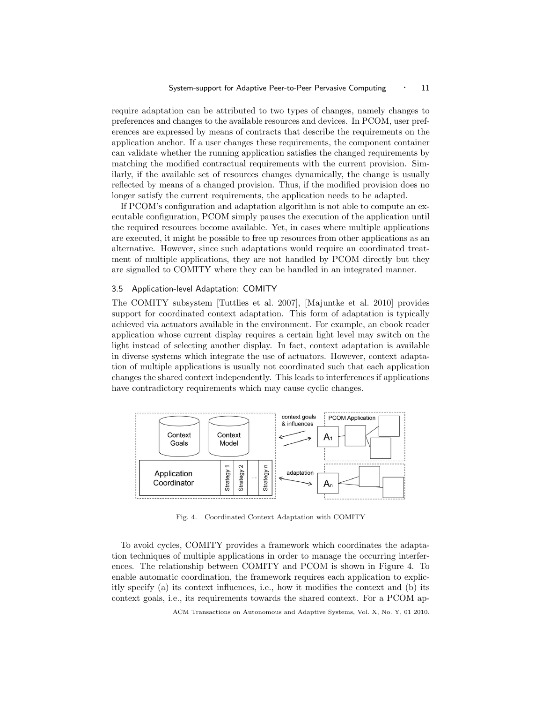require adaptation can be attributed to two types of changes, namely changes to preferences and changes to the available resources and devices. In PCOM, user preferences are expressed by means of contracts that describe the requirements on the application anchor. If a user changes these requirements, the component container can validate whether the running application satisfies the changed requirements by matching the modified contractual requirements with the current provision. Similarly, if the available set of resources changes dynamically, the change is usually reflected by means of a changed provision. Thus, if the modified provision does no longer satisfy the current requirements, the application needs to be adapted.

If PCOM's configuration and adaptation algorithm is not able to compute an executable configuration, PCOM simply pauses the execution of the application until the required resources become available. Yet, in cases where multiple applications are executed, it might be possible to free up resources from other applications as an alternative. However, since such adaptations would require an coordinated treatment of multiple applications, they are not handled by PCOM directly but they are signalled to COMITY where they can be handled in an integrated manner.

## 3.5 Application-level Adaptation: COMITY

The COMITY subsystem [Tuttlies et al. 2007], [Majuntke et al. 2010] provides support for coordinated context adaptation. This form of adaptation is typically achieved via actuators available in the environment. For example, an ebook reader application whose current display requires a certain light level may switch on the light instead of selecting another display. In fact, context adaptation is available in diverse systems which integrate the use of actuators. However, context adaptation of multiple applications is usually not coordinated such that each application changes the shared context independently. This leads to interferences if applications have contradictory requirements which may cause cyclic changes.



Fig. 4. Coordinated Context Adaptation with COMITY

To avoid cycles, COMITY provides a framework which coordinates the adaptation techniques of multiple applications in order to manage the occurring interferences. The relationship between COMITY and PCOM is shown in Figure 4. To enable automatic coordination, the framework requires each application to explicitly specify (a) its context influences, i.e., how it modifies the context and (b) its context goals, i.e., its requirements towards the shared context. For a PCOM ap-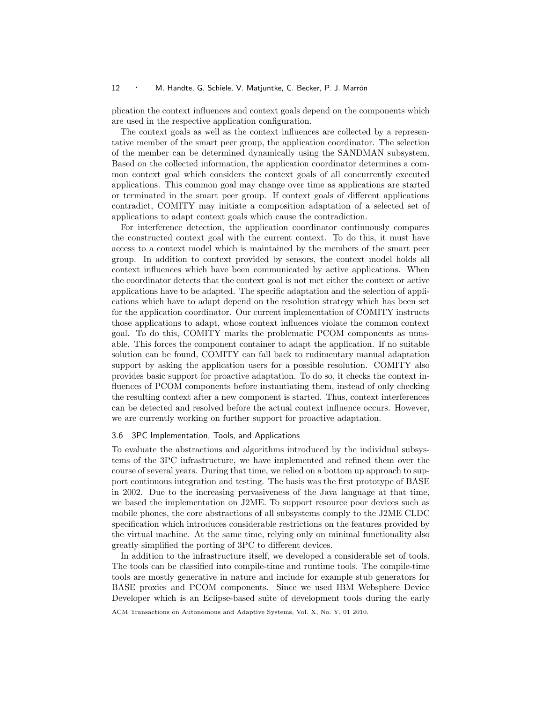plication the context influences and context goals depend on the components which are used in the respective application configuration.

The context goals as well as the context influences are collected by a representative member of the smart peer group, the application coordinator. The selection of the member can be determined dynamically using the SANDMAN subsystem. Based on the collected information, the application coordinator determines a common context goal which considers the context goals of all concurrently executed applications. This common goal may change over time as applications are started or terminated in the smart peer group. If context goals of different applications contradict, COMITY may initiate a composition adaptation of a selected set of applications to adapt context goals which cause the contradiction.

For interference detection, the application coordinator continuously compares the constructed context goal with the current context. To do this, it must have access to a context model which is maintained by the members of the smart peer group. In addition to context provided by sensors, the context model holds all context influences which have been communicated by active applications. When the coordinator detects that the context goal is not met either the context or active applications have to be adapted. The specific adaptation and the selection of applications which have to adapt depend on the resolution strategy which has been set for the application coordinator. Our current implementation of COMITY instructs those applications to adapt, whose context influences violate the common context goal. To do this, COMITY marks the problematic PCOM components as unusable. This forces the component container to adapt the application. If no suitable solution can be found, COMITY can fall back to rudimentary manual adaptation support by asking the application users for a possible resolution. COMITY also provides basic support for proactive adaptation. To do so, it checks the context influences of PCOM components before instantiating them, instead of only checking the resulting context after a new component is started. Thus, context interferences can be detected and resolved before the actual context influence occurs. However, we are currently working on further support for proactive adaptation.

#### 3.6 3PC Implementation, Tools, and Applications

To evaluate the abstractions and algorithms introduced by the individual subsystems of the 3PC infrastructure, we have implemented and refined them over the course of several years. During that time, we relied on a bottom up approach to support continuous integration and testing. The basis was the first prototype of BASE in 2002. Due to the increasing pervasiveness of the Java language at that time, we based the implementation on J2ME. To support resource poor devices such as mobile phones, the core abstractions of all subsystems comply to the J2ME CLDC specification which introduces considerable restrictions on the features provided by the virtual machine. At the same time, relying only on minimal functionality also greatly simplified the porting of 3PC to different devices.

In addition to the infrastructure itself, we developed a considerable set of tools. The tools can be classified into compile-time and runtime tools. The compile-time tools are mostly generative in nature and include for example stub generators for BASE proxies and PCOM components. Since we used IBM Websphere Device Developer which is an Eclipse-based suite of development tools during the early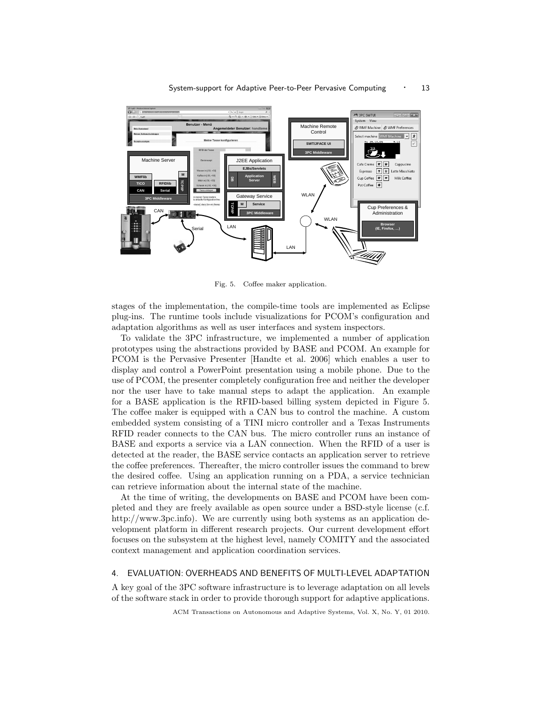

Fig. 5. Coffee maker application.

stages of the implementation, the compile-time tools are implemented as Eclipse plug-ins. The runtime tools include visualizations for PCOM's configuration and adaptation algorithms as well as user interfaces and system inspectors.

To validate the 3PC infrastructure, we implemented a number of application prototypes using the abstractions provided by BASE and PCOM. An example for PCOM is the Pervasive Presenter [Handte et al. 2006] which enables a user to display and control a PowerPoint presentation using a mobile phone. Due to the use of PCOM, the presenter completely configuration free and neither the developer nor the user have to take manual steps to adapt the application. An example for a BASE application is the RFID-based billing system depicted in Figure 5. The coffee maker is equipped with a CAN bus to control the machine. A custom embedded system consisting of a TINI micro controller and a Texas Instruments RFID reader connects to the CAN bus. The micro controller runs an instance of BASE and exports a service via a LAN connection. When the RFID of a user is detected at the reader, the BASE service contacts an application server to retrieve the coffee preferences. Thereafter, the micro controller issues the command to brew the desired coffee. Using an application running on a PDA, a service technician can retrieve information about the internal state of the machine.

At the time of writing, the developments on BASE and PCOM have been completed and they are freely available as open source under a BSD-style license (c.f. http://www.3pc.info). We are currently using both systems as an application development platform in different research projects. Our current development effort focuses on the subsystem at the highest level, namely COMITY and the associated context management and application coordination services.

### 4. EVALUATION: OVERHEADS AND BENEFITS OF MULTI-LEVEL ADAPTATION

A key goal of the 3PC software infrastructure is to leverage adaptation on all levels of the software stack in order to provide thorough support for adaptive applications.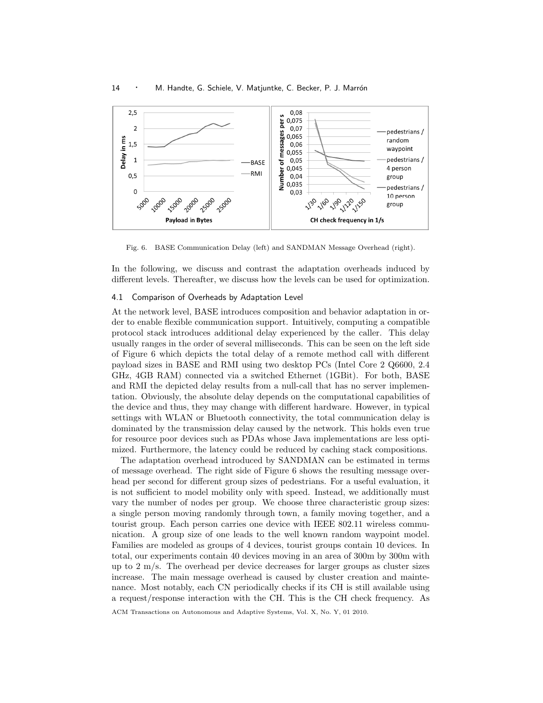

Fig. 6. BASE Communication Delay (left) and SANDMAN Message Overhead (right).

In the following, we discuss and contrast the adaptation overheads induced by different levels. Thereafter, we discuss how the levels can be used for optimization.

# 4.1 Comparison of Overheads by Adaptation Level

At the network level, BASE introduces composition and behavior adaptation in order to enable flexible communication support. Intuitively, computing a compatible protocol stack introduces additional delay experienced by the caller. This delay usually ranges in the order of several milliseconds. This can be seen on the left side of Figure 6 which depicts the total delay of a remote method call with different payload sizes in BASE and RMI using two desktop PCs (Intel Core 2 Q6600, 2.4 GHz, 4GB RAM) connected via a switched Ethernet (1GBit). For both, BASE and RMI the depicted delay results from a null-call that has no server implementation. Obviously, the absolute delay depends on the computational capabilities of the device and thus, they may change with different hardware. However, in typical settings with WLAN or Bluetooth connectivity, the total communication delay is dominated by the transmission delay caused by the network. This holds even true for resource poor devices such as PDAs whose Java implementations are less optimized. Furthermore, the latency could be reduced by caching stack compositions.

The adaptation overhead introduced by SANDMAN can be estimated in terms of message overhead. The right side of Figure 6 shows the resulting message overhead per second for different group sizes of pedestrians. For a useful evaluation, it is not sufficient to model mobility only with speed. Instead, we additionally must vary the number of nodes per group. We choose three characteristic group sizes: a single person moving randomly through town, a family moving together, and a tourist group. Each person carries one device with IEEE 802.11 wireless communication. A group size of one leads to the well known random waypoint model. Families are modeled as groups of 4 devices, tourist groups contain 10 devices. In total, our experiments contain 40 devices moving in an area of 300m by 300m with up to  $2 \text{ m/s}$ . The overhead per device decreases for larger groups as cluster sizes increase. The main message overhead is caused by cluster creation and maintenance. Most notably, each CN periodically checks if its CH is still available using a request/response interaction with the CH. This is the CH check frequency. As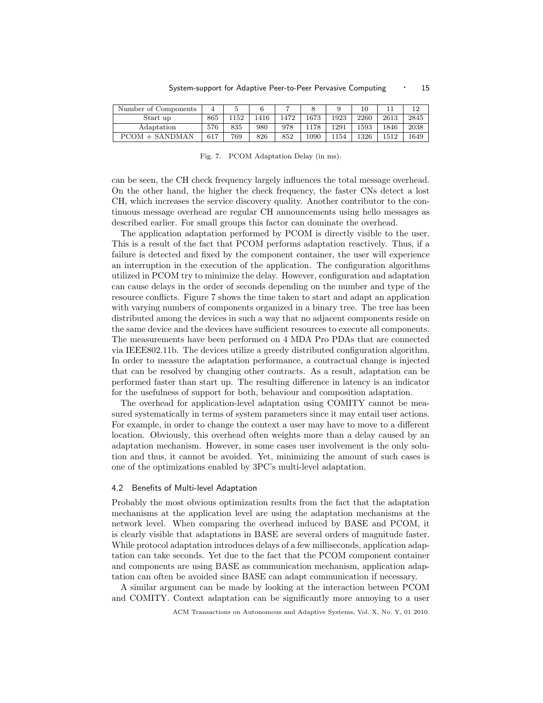| Number of Components |     |     |      |      |      |      | $10\,$ |      | 12   |
|----------------------|-----|-----|------|------|------|------|--------|------|------|
| Start up             | 865 | 152 | 1416 | 1472 | 1673 | 1923 | 2260   | 2613 | 2845 |
| Adaptation           | 576 | 835 | 980  | 978  | 178  | 1291 | 1593   | 1846 | 2038 |
| $PCOM + SAMDMAN$     | 617 | 769 | 826  | 852  | 1090 | 154  | 1326   | 1512 | 1649 |

Fig. 7. PCOM Adaptation Delay (in ms).

can be seen, the CH check frequency largely influences the total message overhead. On the other hand, the higher the check frequency, the faster CNs detect a lost CH, which increases the service discovery quality. Another contributor to the continuous message overhead are regular CH announcements using hello messages as described earlier. For small groups this factor can dominate the overhead.

The application adaptation performed by PCOM is directly visible to the user. This is a result of the fact that PCOM performs adaptation reactively. Thus, if a failure is detected and fixed by the component container, the user will experience an interruption in the execution of the application. The configuration algorithms utilized in PCOM try to minimize the delay. However, configuration and adaptation can cause delays in the order of seconds depending on the number and type of the resource conflicts. Figure 7 shows the time taken to start and adapt an application with varying numbers of components organized in a binary tree. The tree has been distributed among the devices in such a way that no adjacent components reside on the same device and the devices have sufficient resources to execute all components. The measurements have been performed on 4 MDA Pro PDAs that are connected via IEEE802.11b. The devices utilize a greedy distributed configuration algorithm. In order to measure the adaptation performance, a contractual change is injected that can be resolved by changing other contracts. As a result, adaptation can be performed faster than start up. The resulting difference in latency is an indicator for the usefulness of support for both, behaviour and composition adaptation.

The overhead for application-level adaptation using COMITY cannot be measured systematically in terms of system parameters since it may entail user actions. For example, in order to change the context a user may have to move to a different location. Obviously, this overhead often weights more than a delay caused by an adaptation mechanism. However, in some cases user involvement is the only solution and thus, it cannot be avoided. Yet, minimizing the amount of such cases is one of the optimizations enabled by 3PC's multi-level adaptation.

#### 4.2 Benefits of Multi-level Adaptation

Probably the most obvious optimization results from the fact that the adaptation mechanisms at the application level are using the adaptation mechanisms at the network level. When comparing the overhead induced by BASE and PCOM, it is clearly visible that adaptations in BASE are several orders of magnitude faster. While protocol adaptation introduces delays of a few milliseconds, application adaptation can take seconds. Yet due to the fact that the PCOM component container and components are using BASE as communication mechanism, application adaptation can often be avoided since BASE can adapt communication if necessary.

A similar argument can be made by looking at the interaction between PCOM and COMITY. Context adaptation can be significantly more annoying to a user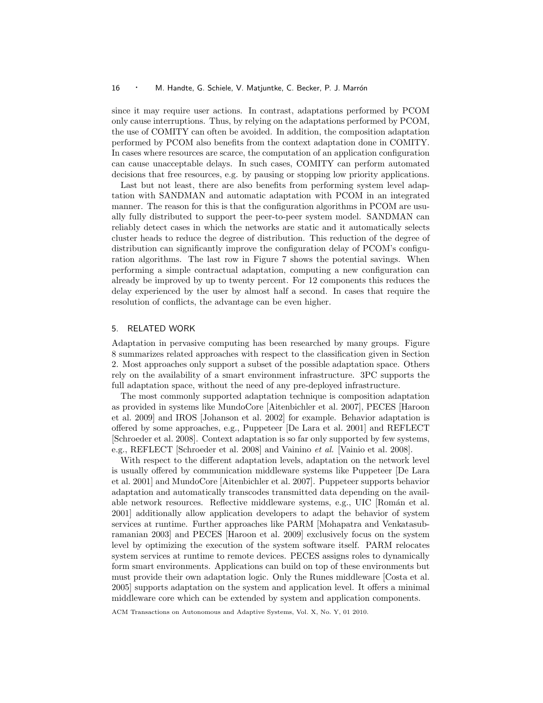since it may require user actions. In contrast, adaptations performed by PCOM only cause interruptions. Thus, by relying on the adaptations performed by PCOM, the use of COMITY can often be avoided. In addition, the composition adaptation performed by PCOM also benefits from the context adaptation done in COMITY. In cases where resources are scarce, the computation of an application configuration can cause unacceptable delays. In such cases, COMITY can perform automated decisions that free resources, e.g. by pausing or stopping low priority applications.

Last but not least, there are also benefits from performing system level adaptation with SANDMAN and automatic adaptation with PCOM in an integrated manner. The reason for this is that the configuration algorithms in PCOM are usually fully distributed to support the peer-to-peer system model. SANDMAN can reliably detect cases in which the networks are static and it automatically selects cluster heads to reduce the degree of distribution. This reduction of the degree of distribution can significantly improve the configuration delay of PCOM's configuration algorithms. The last row in Figure 7 shows the potential savings. When performing a simple contractual adaptation, computing a new configuration can already be improved by up to twenty percent. For 12 components this reduces the delay experienced by the user by almost half a second. In cases that require the resolution of conflicts, the advantage can be even higher.

# 5. RELATED WORK

Adaptation in pervasive computing has been researched by many groups. Figure 8 summarizes related approaches with respect to the classification given in Section 2. Most approaches only support a subset of the possible adaptation space. Others rely on the availability of a smart environment infrastructure. 3PC supports the full adaptation space, without the need of any pre-deployed infrastructure.

The most commonly supported adaptation technique is composition adaptation as provided in systems like MundoCore [Aitenbichler et al. 2007], PECES [Haroon et al. 2009] and IROS [Johanson et al. 2002] for example. Behavior adaptation is offered by some approaches, e.g., Puppeteer [De Lara et al. 2001] and REFLECT [Schroeder et al. 2008]. Context adaptation is so far only supported by few systems, e.g., REFLECT [Schroeder et al. 2008] and Vainino et al. [Vainio et al. 2008].

With respect to the different adaptation levels, adaptation on the network level is usually offered by communication middleware systems like Puppeteer [De Lara et al. 2001] and MundoCore [Aitenbichler et al. 2007]. Puppeteer supports behavior adaptation and automatically transcodes transmitted data depending on the available network resources. Reflective middleware systems, e.g., UIC [Román et al. 2001] additionally allow application developers to adapt the behavior of system services at runtime. Further approaches like PARM [Mohapatra and Venkatasubramanian 2003] and PECES [Haroon et al. 2009] exclusively focus on the system level by optimizing the execution of the system software itself. PARM relocates system services at runtime to remote devices. PECES assigns roles to dynamically form smart environments. Applications can build on top of these environments but must provide their own adaptation logic. Only the Runes middleware [Costa et al. 2005] supports adaptation on the system and application level. It offers a minimal middleware core which can be extended by system and application components.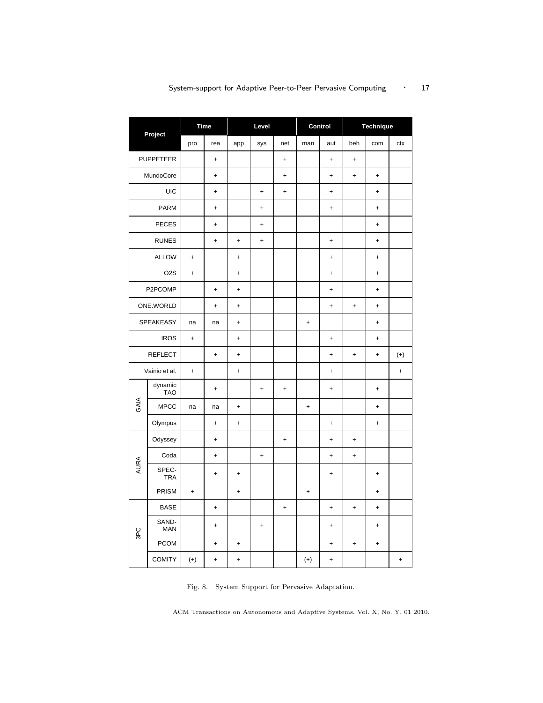| Project          |                       | <b>Time</b> |           |           | Level     |           | Control   |           | <b>Technique</b>                 |           |                                  |
|------------------|-----------------------|-------------|-----------|-----------|-----------|-----------|-----------|-----------|----------------------------------|-----------|----------------------------------|
|                  |                       | pro         | rea       | app       | sys       | net       | man       | aut       | beh                              | com       | ctx                              |
| <b>PUPPETEER</b> |                       |             | $\ddot{}$ |           |           | $\ddot{}$ |           | $\ddot{}$ | $\ddot{}$                        |           |                                  |
| MundoCore        |                       |             | $\ddot{}$ |           |           | $\ddot{}$ |           | $\ddot{}$ | $\ddot{}$                        | $\ddot{}$ |                                  |
| UIC              |                       |             | $\ddot{}$ |           | $\ddot{}$ | $\ddot{}$ |           | $\ddot{}$ |                                  | $\ddot{}$ |                                  |
| <b>PARM</b>      |                       |             | +         |           | $\ddot{}$ |           |           | $\ddot{}$ |                                  | $\ddot{}$ |                                  |
| PECES            |                       |             | $\ddot{}$ |           | $\ddot{}$ |           |           |           |                                  | $\ddot{}$ |                                  |
| <b>RUNES</b>     |                       |             | $\ddot{}$ | $\ddot{}$ | $\ddot{}$ |           |           | $\ddot{}$ |                                  | $\ddot{}$ |                                  |
| <b>ALLOW</b>     |                       | $\ddot{}$   |           | $\ddot{}$ |           |           |           | $\ddot{}$ |                                  | $\ddot{}$ |                                  |
| O <sub>2</sub> S |                       | $\ddot{}$   |           | $\ddot{}$ |           |           |           | +         |                                  | $\ddot{}$ |                                  |
| P2PCOMP          |                       |             | $\ddot{}$ | $\ddot{}$ |           |           |           | $\ddot{}$ |                                  | $\ddot{}$ |                                  |
| ONE.WORLD        |                       |             | $\ddot{}$ | $\ddot{}$ |           |           |           | $\ddot{}$ | $\ddot{}$                        | $\ddot{}$ |                                  |
| SPEAKEASY        |                       | na          | na        | $\ddot{}$ |           |           | $\ddot{}$ |           |                                  | $\ddot{}$ |                                  |
| <b>IROS</b>      |                       | $\ddot{}$   |           | $\ddot{}$ |           |           |           | $\ddot{}$ |                                  | $\ddot{}$ |                                  |
| <b>REFLECT</b>   |                       |             | $\ddot{}$ | $\ddot{}$ |           |           |           | $\ddot{}$ | $\ddot{}$                        | $\ddot{}$ | $(+)$                            |
| Vainio et al.    |                       | $\ddot{}$   |           | $\ddot{}$ |           |           |           | $\ddot{}$ |                                  |           | $\begin{array}{c} + \end{array}$ |
|                  | dynamic<br><b>TAO</b> |             | $\ddot{}$ |           | $\ddot{}$ | $\ddot{}$ |           | $\ddot{}$ |                                  | $\ddot{}$ |                                  |
| GAIA             | <b>MPCC</b>           | na          | na        | $\ddot{}$ |           |           | $\ddot{}$ |           |                                  | $\ddot{}$ |                                  |
|                  | Olympus               |             | $\ddot{}$ | $\ddot{}$ |           |           |           | $\ddot{}$ |                                  | $\ddot{}$ |                                  |
| <b>AURA</b>      | Odyssey               |             | +         |           |           | $\ddot{}$ |           | $\ddot{}$ | $\ddot{}$                        |           |                                  |
|                  | Coda                  |             | +         |           | $\ddot{}$ |           |           | $\ddot{}$ | $\ddot{}$                        |           |                                  |
|                  | SPEC-<br><b>TRA</b>   |             | $\ddot{}$ | $\ddot{}$ |           |           |           | $\ddot{}$ |                                  | $\ddot{}$ |                                  |
|                  | PRISM                 | $\ddot{}$   |           | $\ddot{}$ |           |           | $\ddot{}$ |           |                                  | $\ddot{}$ |                                  |
| 3PC              | <b>BASE</b>           |             | $\ddot{}$ |           |           | $\ddot{}$ |           | $\ddot{}$ | $\begin{array}{c} + \end{array}$ | $\ddot{}$ |                                  |
|                  | SAND-<br><b>MAN</b>   |             | $\ddot{}$ |           | $\pmb{+}$ |           |           | $\ddot{}$ |                                  | $\ddot{}$ |                                  |
|                  | <b>PCOM</b>           |             | $\ddot{}$ | $\ddot{}$ |           |           |           | $\ddot{}$ | $\ddot{}$                        | $\ddot{}$ |                                  |
|                  | <b>COMITY</b>         | $(+)$       | +         | $\ddot{}$ |           |           | $(+)$     | $\ddot{}$ |                                  |           | $\ddot{}$                        |

Fig. 8. System Support for Pervasive Adaptation.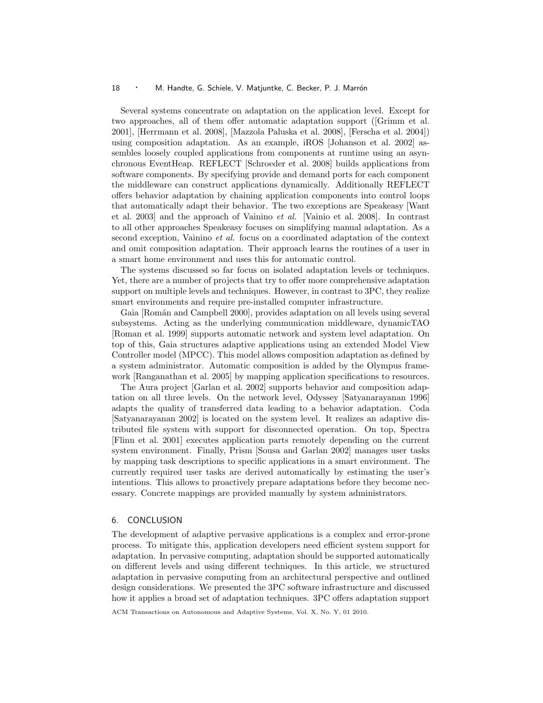Several systems concentrate on adaptation on the application level. Except for two approaches, all of them offer automatic adaptation support ([Grimm et al. 2001], [Herrmann et al. 2008], [Mazzola Paluska et al. 2008], [Ferscha et al. 2004]) using composition adaptation. As an example, iROS [Johanson et al. 2002] assembles loosely coupled applications from components at runtime using an asynchronous EventHeap. REFLECT [Schroeder et al. 2008] builds applications from software components. By specifying provide and demand ports for each component the middleware can construct applications dynamically. Additionally REFLECT offers behavior adaptation by chaining application components into control loops that automatically adapt their behavior. The two exceptions are Speakeasy [Want et al. 2003] and the approach of Vainino et al. [Vainio et al. 2008]. In contrast to all other approaches Speakeasy focuses on simplifying manual adaptation. As a second exception, Vainino *et al.* focus on a coordinated adaptation of the context and omit composition adaptation. Their approach learns the routines of a user in a smart home environment and uses this for automatic control.

The systems discussed so far focus on isolated adaptation levels or techniques. Yet, there are a number of projects that try to offer more comprehensive adaptation support on multiple levels and techniques. However, in contrast to 3PC, they realize smart environments and require pre-installed computer infrastructure.

Gaia [Román and Campbell 2000], provides adaptation on all levels using several subsystems. Acting as the underlying communication middleware, dynamicTAO [Roman et al. 1999] supports automatic network and system level adaptation. On top of this, Gaia structures adaptive applications using an extended Model View Controller model (MPCC). This model allows composition adaptation as defined by a system administrator. Automatic composition is added by the Olympus framework [Ranganathan et al. 2005] by mapping application specifications to resources.

The Aura project [Garlan et al. 2002] supports behavior and composition adaptation on all three levels. On the network level, Odyssey [Satyanarayanan 1996] adapts the quality of transferred data leading to a behavior adaptation. Coda [Satyanarayanan 2002] is located on the system level. It realizes an adaptive distributed file system with support for disconnected operation. On top, Spectra [Flinn et al. 2001] executes application parts remotely depending on the current system environment. Finally, Prism [Sousa and Garlan 2002] manages user tasks by mapping task descriptions to specific applications in a smart environment. The currently required user tasks are derived automatically by estimating the user's intentions. This allows to proactively prepare adaptations before they become necessary. Concrete mappings are provided manually by system administrators.

## 6. CONCLUSION

The development of adaptive pervasive applications is a complex and error-prone process. To mitigate this, application developers need efficient system support for adaptation. In pervasive computing, adaptation should be supported automatically on different levels and using different techniques. In this article, we structured adaptation in pervasive computing from an architectural perspective and outlined design considerations. We presented the 3PC software infrastructure and discussed how it applies a broad set of adaptation techniques. 3PC offers adaptation support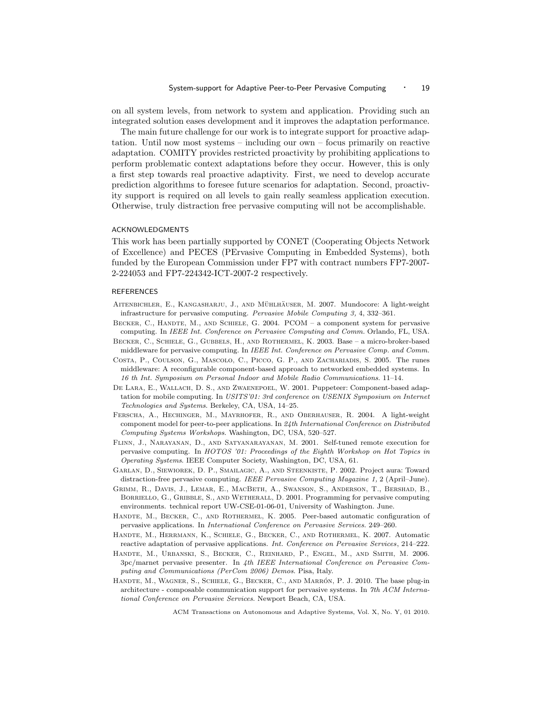on all system levels, from network to system and application. Providing such an integrated solution eases development and it improves the adaptation performance.

The main future challenge for our work is to integrate support for proactive adaptation. Until now most systems – including our own – focus primarily on reactive adaptation. COMITY provides restricted proactivity by prohibiting applications to perform problematic context adaptations before they occur. However, this is only a first step towards real proactive adaptivity. First, we need to develop accurate prediction algorithms to foresee future scenarios for adaptation. Second, proactivity support is required on all levels to gain really seamless application execution. Otherwise, truly distraction free pervasive computing will not be accomplishable.

#### ACKNOWLEDGMENTS

This work has been partially supported by CONET (Cooperating Objects Network of Excellence) and PECES (PErvasive Computing in Embedded Systems), both funded by the European Commission under FP7 with contract numbers FP7-2007- 2-224053 and FP7-224342-ICT-2007-2 respectively.

## REFERENCES

- AITENBICHLER, E., KANGASHARJU, J., AND MÜHLHÄUSER, M. 2007. Mundocore: A light-weight infrastructure for pervasive computing. Pervasive Mobile Computing 3, 4, 332–361.
- BECKER, C., HANDTE, M., AND SCHIELE, G. 2004. PCOM a component system for pervasive computing. In IEEE Int. Conference on Pervasive Computing and Comm. Orlando, FL, USA.
- Becker, C., Schiele, G., Gubbels, H., and Rothermel, K. 2003. Base a micro-broker-based middleware for pervasive computing. In IEEE Int. Conference on Pervasive Comp. and Comm.
- Costa, P., Coulson, G., Mascolo, C., Picco, G. P., and Zachariadis, S. 2005. The runes middleware: A reconfigurable component-based approach to networked embedded systems. In 16 th Int. Symposium on Personal Indoor and Mobile Radio Communications. 11–14.
- DE LARA, E., WALLACH, D. S., AND ZWAENEPOEL, W. 2001. Puppeteer: Component-based adaptation for mobile computing. In USITS'01: 3rd conference on USENIX Symposium on Internet Technologies and Systems. Berkeley, CA, USA, 14–25.
- Ferscha, A., Hechinger, M., Mayrhofer, R., and Oberhauser, R. 2004. A light-weight component model for peer-to-peer applications. In 24th International Conference on Distributed Computing Systems Workshops. Washington, DC, USA, 520–527.
- Flinn, J., Narayanan, D., and Satyanarayanan, M. 2001. Self-tuned remote execution for pervasive computing. In HOTOS '01: Proceedings of the Eighth Workshop on Hot Topics in Operating Systems. IEEE Computer Society, Washington, DC, USA, 61.
- Garlan, D., Siewiorek, D. P., Smailagic, A., and Steenkiste, P. 2002. Project aura: Toward distraction-free pervasive computing. IEEE Pervasive Computing Magazine 1, 2 (April–June).
- Grimm, R., Davis, J., Lemar, E., MacBeth, A., Swanson, S., Anderson, T., Bershad, B., Borriello, G., Gribble, S., and Wetherall, D. 2001. Programming for pervasive computing environments. technical report UW-CSE-01-06-01, University of Washington. June.
- HANDTE, M., BECKER, C., AND ROTHERMEL, K. 2005. Peer-based automatic configuration of pervasive applications. In International Conference on Pervasive Services. 249–260.
- Handte, M., Herrmann, K., Schiele, G., Becker, C., and Rothermel, K. 2007. Automatic reactive adaptation of pervasive applications. Int. Conference on Pervasive Services, 214–222.
- Handte, M., Urbanski, S., Becker, C., Reinhard, P., Engel, M., and Smith, M. 2006. 3pc/marnet pervasive presenter. In 4th IEEE International Conference on Pervasive Computing and Communications (PerCom 2006) Demos. Pisa, Italy.
- HANDTE, M., WAGNER, S., SCHIELE, G., BECKER, C., AND MARRÓN, P. J. 2010. The base plug-in architecture - composable communication support for pervasive systems. In 7th ACM International Conference on Pervasive Services. Newport Beach, CA, USA.